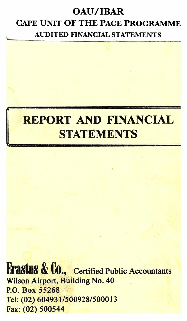# **OAU/IBAR CAPE UNIT OF THE PACE PROGRAMME AUDITED FINANCIAL STATEMENTS**



**Erastus & Co., Certified Public Accountants Wilson Airport, Building No. 40 P.O. Box 55268 Tel: (02) 604931/500928/500013 Fax: (02) 500544**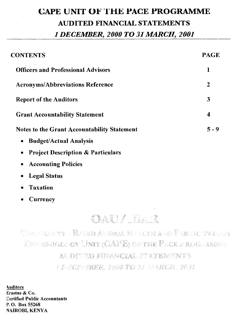# **CAPE UNIT OF THE PACE PROGRAMME AUDITED FINANCIAL STATEMENTS**  *1 DECEMBER, 2000 TO 31 MARCH, 2001*

| <b>CONTENTS</b>                                           | <b>PAGE</b>      |
|-----------------------------------------------------------|------------------|
| <b>Officers and Professional Advisors</b>                 | 1                |
| <b>Acronyms/Abbreviations Reference</b>                   | $\boldsymbol{2}$ |
| <b>Report of the Auditors</b>                             | 3                |
| <b>Grant Accountability Statement</b>                     | 4                |
| <b>Notes to the Grant Accountability Statement</b>        | $5 - 9$          |
| <b>Budget/Actual Analysis</b><br>٠                        |                  |
| <b>Project Description &amp; Particulars</b><br>$\bullet$ |                  |
| .                                                         |                  |

- **Accounting Policies**
- **Legal Status**
- **Taxation**
- **Currency**

# OAU/ BAR

Cignificiety – Baskd Aftimal FF alth afod Partic partery EPOUENTOLOGY UNIT (CAPE) OF THE PACE FROGRAMES

AUDITED FINANCIAL STATEMENTS

I DECEMBER, 2000 TO SI AARCH, 2001

**Auditors** Erastus & Co. Certified Public Accountants P. O. Box 55268 NAIROBI, KENYA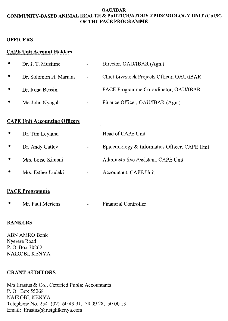#### OAU/IBAR COMMUNITY-BASED ANIMAL HEALTH & PARTICIPATORY EPIDEMIOLOGY UNIT (CAPE) OF THE PACE PROGRAMME

### **OFFICERS**

# CAPE Unit Account Holders

| $\bullet$ | Dr. J. T. Musiime     | $\ddot{}$                    | Director, OAU/IBAR (Agn.)                  |
|-----------|-----------------------|------------------------------|--------------------------------------------|
| $\bullet$ | Dr. Solomon H. Mariam | $\sigma_{\rm{max}}$          | Chief Livestock Projects Officer, OAU/IBAR |
|           | Dr. Rene Bessin       | $\overline{\phantom{a}}$     | PACE Programme Co-ordinator, OAU/IBAR      |
|           | Mr. John Nyagah       | $\qquad \qquad \blacksquare$ | Finance Officer, OAU/IBAR (Agn.)           |

# CAPE Unit Accounting Officers

|           | Dr. Tim Leyland    | Head of CAPE Unit                             |
|-----------|--------------------|-----------------------------------------------|
| $\bullet$ | Dr. Andy Catley    | Epidemiology & Informatics Officer, CAPE Unit |
|           | Mrs. Loise Kimani  | Administrative Assistant, CAPE Unit           |
|           | Mrs. Esther Ludeki | Accountant, CAPE Unit                         |
|           |                    |                                               |

# PACE Programme

Mr. Paul Mertens Financial Controller

# BANKERS

ABN AMRO Bank Nyerere Road P. 0. Box 30262 NAIROBI, KENYA

# GRANT AUDITORS

M/s Erastus & Co., Certified Public Accountants P. 0. Box 55268 NAIROBI, KENYA Telephone No. 254 (02) 60 49 31, 50 09 28, 50 00 13 Email: Erastus@insightkenya.com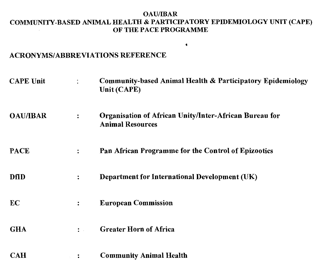#### OAU/IBAR COMMUNITY-BASED ANIMAL HEALTH & PARTICIPATORY EPIDEMIOLOGY UNIT (CAPE) OF THE PACE PROGRAMME

 $\blacklozenge$ 

#### ACRONYMS/ABBREVIATIONS REFERENCE

| <b>CAPE Unit</b> |                      | Community-based Animal Health & Participatory Epidemiology<br>Unit (CAPE)         |
|------------------|----------------------|-----------------------------------------------------------------------------------|
| <b>OAU/IBAR</b>  | $\ddot{\cdot}$       | Organisation of African Unity/Inter-African Bureau for<br><b>Animal Resources</b> |
| <b>PACE</b>      | $\ddot{\cdot}$       | Pan African Programme for the Control of Epizootics                               |
| <b>DfID</b>      | $\ddot{\cdot}$       | Department for International Development (UK)                                     |
| EC               | $\ddot{\phantom{a}}$ | <b>European Commission</b>                                                        |
| <b>GHA</b>       | $\ddot{\cdot}$       | <b>Greater Horn of Africa</b>                                                     |
| <b>CAH</b>       | $\ddot{\cdot}$       | <b>Community Animal Health</b>                                                    |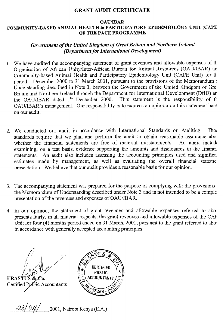#### GRANT AUDIT CERTIFICATE

#### OAU/IBAR COMMUNITY-BASED ANIMAL HEALTH & PARTICIPATORY EPIDEMIOLOGY UNIT (CAPE OF THE PACE PROGRAMME

# *Government of the United Kingdom of Great Britain and Northern Ireland (Department for International Development)*

- 1. We have audited the accompanying statement of grant revenues and allowable expenses of ti Organisation of African Unity/Inter-African Bureau for Animal Resources (OAU/IBAR) ar. Community-based Animal Health and Participatory Epidemiology Unit (CAPE Unit) for ti period 1 December 2000 to 31 March 2001, pursuant to the provisions of the Memorandum Understanding described in Note 3, between the Government of the United Kindgom of Gre Britain and Northern Ireland through the Department for International Development (DfID) ar<br>the OAU/IBAR dated 1<sup>st</sup> December 2000. This statement is the responsibility of th the OAU/IBAR dated  $1<sup>st</sup>$  December 2000. OAU/IBAR's management. Our responsibility is to express an opinion on this statement bast on our audit.
- 2. We conducted our audit in accordance with International Standards on Auditing. Tho: standards require that we plan and perform the audit to obtain reasonable assurance abo whether the financial statements are free of material misstatements. An audit include whether the financial statements are free of material misstatements. examining, on a test basis, evidence supporting the amounts and disclosures in the financi statements. An audit also includes assessing the accounting principles used and significa estimates made by management, as well as evaluating the overall financial stateme presentation. We believe that our audit provides a reasonable basis for our opinion.
- 3. The accompanying statement was prepared for the purpose of complying with the provisions the Memorandum of Understanding described under Note 3 and is not intended to be a comple presentation of the revenues and expenses of OAU/IBAR.
- 4. In our opinion, the statement of grant revenues and allowable expenses referred to abo' presents fairly, in all material respects, the grant revenues and allowable expenses of the CAI Unit for four (4) months period ended on 31 March, 2001, pursuant to the grant referred to abo in accordance with generally accepted accounting principles.





2001, Nairobi Kenya (E.A.)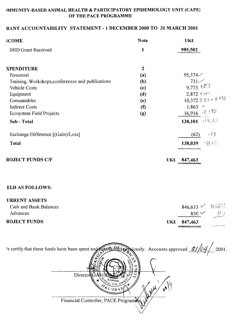# IMMUNITY-BASED ANIMAL HEALTH & PARTICIPATORY EPIDEMIOLOGY UNIT (CAPE) OF THE PACE PROGRAMME

# RANT ACCOUNTABILITY STATEMENT - 1 DECEMBER 2000 TO 31 MARCH 2001

| <b>COME</b>                                       | <b>Note</b>  | <b>UK£</b>            |
|---------------------------------------------------|--------------|-----------------------|
| DfID Grant Received                               | $\mathbf{1}$ | 985,502               |
| <b>XPENDITURE</b>                                 | $\mathbf{2}$ |                       |
| Personnel                                         | (a)          | 95,574                |
| Training, Workshops, conferences and publications | (b)          | 731                   |
| Vehicle Costs                                     | (c)          | $9,773$ $9,857$       |
| Equipment                                         | (d)          | 2,872,908             |
| Consumables                                       | (e)          | 10,372 2 823 + 8 753  |
| <b>Indirect Costs</b>                             | $\bf{(f)}$   | $1,863 -$             |
| Ecosystem Field Projects                          | (g)          | $16,916$ $7,390$      |
| Sub - Total                                       |              | 138,101 $138,25$      |
| Exchange Difference [(Gain)/Loss]                 |              | 173<br>(62)           |
| <b>Total</b>                                      |              | 13835-<br>138,039     |
| <b>ROJECT FUNDS C/F</b>                           |              | 847,463<br><b>UK£</b> |

### ELD AS FOLLOWS:

| <b>URRENT ASSETS</b>   |             |                       |
|------------------------|-------------|-----------------------|
| Cash and Bank Balances |             | $846,633 \vee 816633$ |
| Advances               | 830 $\vee$  | 82.0                  |
| <b>ROJECT FUNDS</b>    | UK£ 847,463 |                       |

| e certify that these funds have been spent and read in Edman Nously. Accounts approved $\mathcal{Q}/\mathcal{O}\mathcal{A}$<br>2001. |
|--------------------------------------------------------------------------------------------------------------------------------------|
|                                                                                                                                      |
| Director<br>V FOR ANY                                                                                                                |
| U/IBN<br>Financial Controller, PACE Programine                                                                                       |
|                                                                                                                                      |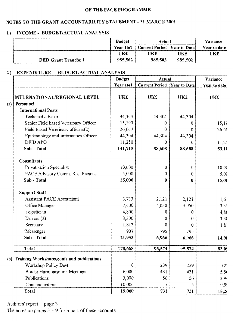# NOTES TO THE GRANT ACCOUNTABILITY STATEMENT - 31 MARCH 2001

# 1.) INCOME - BUDGET/ACTUAL ANALYSIS

|                             | <b>Budget</b> | Actual                                |         | Variance     |
|-----------------------------|---------------|---------------------------------------|---------|--------------|
|                             | Year 1to1     | <b>Current Period   Year to Date </b> |         | Year to date |
|                             | UK£           | UK£                                   | UK£     | UK£          |
| <b>DfID Grant Tranche 1</b> | 985.502       | 985,502                               | 985.502 |              |

#### 2.) EXPENDITURE - BUDGET/ACTUAL ANALYSIS

|     |                                            | <b>Budget</b> | Actual                |                     | Variance                  |
|-----|--------------------------------------------|---------------|-----------------------|---------------------|---------------------------|
|     |                                            | Year 1to1     | <b>Current Period</b> | <b>Year to Date</b> | Year to date              |
|     | INTERNATIONAL/REGIONAL LEVEL               | UK£           | <b>UK£</b>            | <b>UK£</b>          | <b>UK£</b>                |
| (a) | Personnel                                  |               |                       |                     |                           |
|     | <b>International Posts</b>                 |               |                       |                     |                           |
|     | Technical advisor                          | 44,304        | 44,304                | 44,304              |                           |
|     | Senior Field based Veterinary Officer      | 15,190        | 0                     | 0                   | 15,19                     |
|     | Field Based Veterinary officers(2)         | 26,667        | $\theta$              | 0                   | 26, 66                    |
|     | Epidemiology and Informatics Officer       | 44,304        | 44,304                | 44,304              |                           |
|     | <b>DFID APO</b>                            | 11,250        | 0                     | 0                   | 11,22                     |
|     | Sub - Total                                | 141,715       | 88,608                | 88,608              | 53,10                     |
|     | <b>Consultants</b>                         |               |                       |                     |                           |
|     | Privatisation Specialist                   | 10,000        | 0                     | 0                   | 10,00                     |
|     | PACE Advisory Comm. Res. Persons           | 5,000         | 0                     | 0                   | 5,0(                      |
|     | Sub - Total                                | 15,000        | 0                     | 0                   | 15,00                     |
|     | <b>Support Staff</b>                       |               |                       |                     |                           |
|     | <b>Assistant PACE Accountant</b>           | 3,733         | 2,121                 | 2,121               | 1,6                       |
|     | Office Manager                             | 7,400         | 4,050                 | 4,050               | 3,3.4                     |
|     | Logistician                                | 4,800         | 0                     | 0                   | 4,80                      |
|     | Drivers (2)                                | 3,300         | 0                     | 0                   | 3,3(                      |
|     | Secretary                                  | 1,813         | 0                     | 0                   | 1,8                       |
|     | Messenger                                  | 907           | 795                   | 795                 | $\mathbf{1}^{\mathbf{1}}$ |
|     | Sub - Total                                | 21,953        | 6,966                 | 6,966               | 14,98                     |
|     | Total                                      | 178,668       | 95,574                | 95,574              | 83,09                     |
| (b) | Training Workshops, confs and publications |               |                       |                     |                           |
|     | Workshop Policy Devt                       | $\bf{0}$      | 239                   | 239                 | (2)                       |
|     | <b>Border Harmonisation Meetings</b>       | 6,000         | 431                   | 431                 | 5,51                      |
|     | Publications                               | 3,000         | 56                    | 56                  | 2,9                       |
|     | Communications                             | 10,000        | 5                     | 5                   | 9,9                       |
|     | Total                                      | 19,000        | 731                   | 731                 | 18,20                     |

Auditors' report - page 3

The notes on pages  $5 - 9$  form part of these accounts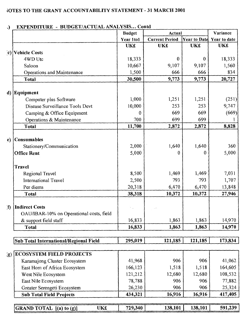# TOTES TO THE GRANT ACCOUNTABILITY STATEMENT - 31 MARCH 2001

| ۰,           | EAT ENDITURE - DUDGET/ACTUAL ANALISIS COMU | <b>Budget</b> | Actual                |            | Variance                  |
|--------------|--------------------------------------------|---------------|-----------------------|------------|---------------------------|
|              |                                            | Year 1to1     | <b>Current Period</b> |            | Year to Date Year to date |
|              |                                            | <b>UK£</b>    | <b>UK£</b>            | <b>UK£</b> | UK£                       |
|              | c) Vehicle Costs                           |               |                       |            |                           |
|              | 4WD Utc                                    | 18,333        | $\bf{0}$              | 0          | 18,333                    |
|              | Saloon                                     | 10,667        | 9,107                 | 9,107      | 1,560                     |
|              | Operations and Maintenance                 | 1,500         | 666                   | 666        | 834                       |
|              | <b>Total</b>                               | 30,500        | 9,773                 | 9,773      | 20,727                    |
|              | d) Equipment                               |               |                       |            |                           |
|              | Computer plus Software                     | 1,000         | 1,251                 | 1,251      | (251)                     |
|              | Disease Surveillance Tools Devt            | 10,000        | 253                   | 253        | 9,747                     |
|              | Camping & Office Equipment                 | 0             | 669                   | 669        | (669)                     |
|              | Operations & Maintenance                   | 700           | 699                   | 699        |                           |
|              | <b>Total</b>                               | 11,700        | 2,872                 | 2,872      | 8,828                     |
|              |                                            |               |                       |            |                           |
| e)           | Consumables                                |               |                       |            |                           |
|              | Stationery/Communication                   | 2,000         | 1,640                 | 1,640      | 360                       |
|              | <b>Office Rent</b>                         | 5,000         | 0                     | 0          | 5,000                     |
|              | <b>Travel</b>                              |               |                       |            |                           |
|              | Regional Travel                            | 8,500         | 1,469                 | 1,469      | 7,031                     |
|              | <b>International Travel</b>                | 2,500         | 793                   | 793        | 1,707                     |
|              | Per diems                                  | 20,318        | 6,470                 | 6,470      | 13,848                    |
|              | <b>Total</b>                               | 38,318        | 10,372                | 10,372     | 27,946                    |
| $\mathbf{f}$ | <b>Indirect Costs</b>                      |               |                       |            |                           |
|              | OAU/IBAR-10% on Operational costs, field   |               |                       |            |                           |
|              | & support field staff                      | 16,833        | 1,863                 | 1,863      | 14,970                    |
|              | <b>Total</b>                               | 16,833        | 1,863                 | 1,863      | 14,970                    |
|              |                                            |               |                       |            |                           |
|              | Sub Total International/Regional Field     | 295,019       | 121,185               | 121,185    | 173,834                   |
| (g)          | <b>ECOSYSTEM FIELD PROJECTS</b>            |               |                       |            |                           |
|              | Karamajong Cluster Ecosystem               | 41,968        | 906                   | 906        | 41,062                    |
|              | East Horn of Africa Ecosystem              | 166,123       | 1,518                 | 1,518      | 164,605                   |
|              | West Nile Ecosystem                        | 121,212       | 12,680                | 12,680     | 108,532                   |
|              | East Nile Ecosystem                        | 78,788        | 906                   | 906        | 77,882                    |
|              | Greater Serengeti Ecosystem                | 26,230        | 906                   | 906        | 25,324                    |
|              | <b>Sub Total Field Projects</b>            | 434,321       | 16,916                | 16,916     | 417,405                   |
|              |                                            |               |                       |            |                           |
|              | UK£<br>GRAND TOTAL $[(a)$ to $(g)]$        | 729,340       | 138,101               | 138,101    | 591,239                   |

#### **BHDCET/ACTHAL ANALVSIS** Contd **EXPENDITION**  $\lambda$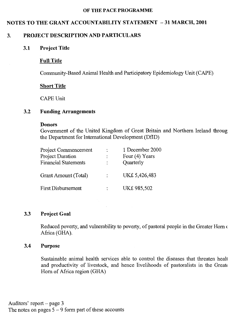# NOTES TO THE GRANT ACCOUNTABILITY STATEMENT — 31 MARCH, 2001

# 3. PROJECT DESCRIPTION AND PARTICULARS

#### 3.1 Project Title

#### Full Title

Community-Based Animal Health and Participatory Epidemiology Unit (CAPE)

#### **Short Title**

CAPE Unit

#### 3.2 Funding Arrangements

#### Donors

Government of the United Kingdom of Great Britain and Northern Ireland throug the Department for International Development (DfID)

| Project Commencement        | 1 December 2000 |
|-----------------------------|-----------------|
| Project Duration            | Four (4) Years  |
| <b>Financial Statements</b> | Quarterly       |
| Grant Amount (Total)        | UK£ 5,426,483   |
| <b>First Disbursement</b>   | UK£ 985,502     |

# 3.3 Project Goal

Reduced poverty, and vulnerability to poverty, of pastoral people in the Greater Horn ( Africa (GHA).

### 3.4 Purpose

Sustainable animal health services able to control the diseases that threaten healt and productivity of livestock, and hence livelihoods of pastoralists in the Great Horn of Africa region (GHA)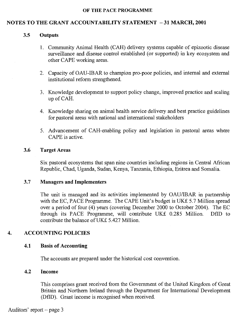# **NOTES TO THE GRANT ACCOUNTABILITY STATEMENT -31 MARCH, 2001**

### 3.5 **Outputs**

- 1. Community Animal Health (CAH) delivery systems capable of epizootic disease surveillance and disease control established (or supported) in key ecosystem and other CAPE working areas.
- 2. Capacity of OAU-IBAR to champion pro-poor policies, and internal and external institutional reform strengthened.
- 3. Knowledge development to support policy change, improved practice and scaling up of CAH.
- 4. Knowledge sharing on animal health service delivery and best practice guidelines for pastoral areas with national and international stakeholders
- 5. Advancement of CAH-enabling policy and legislation in pastoral areas where CAPE is active.

# **3.6 Target Areas**

Six pastoral ecosystems that span nine countries including regions in Central African Republic, Chad, Uganda, Sudan, Kenya, Tanzania, Ethiopia, Eritrea and Somalia.

# **3.7 Managers and Implementers**

The unit is managed and its activities implemented by OAU/IBAR in partnership with the EC, PACE Programme. The CAPE Unit's budget is UK£ 5.7 Million spread over a period of four (4) years (covering December 2000 to October 2004). The EC through its PACE Programme, will contribute UK£ 0.285 Million. DfID to contribute the balance of UK£ 5.427 Million.

# **4. ACCOUNTING POLICIES**

# **4.1 Basis of Accounting**

The accounts are prepared under the historical cost convention.

# **4.2 Income**

This comprises grant received from the Government of the United Kingdom of Great Britain and Northern Ireland through the Department for International Development (DfID). Grant income is recognised when received.

Auditors' report — page 3